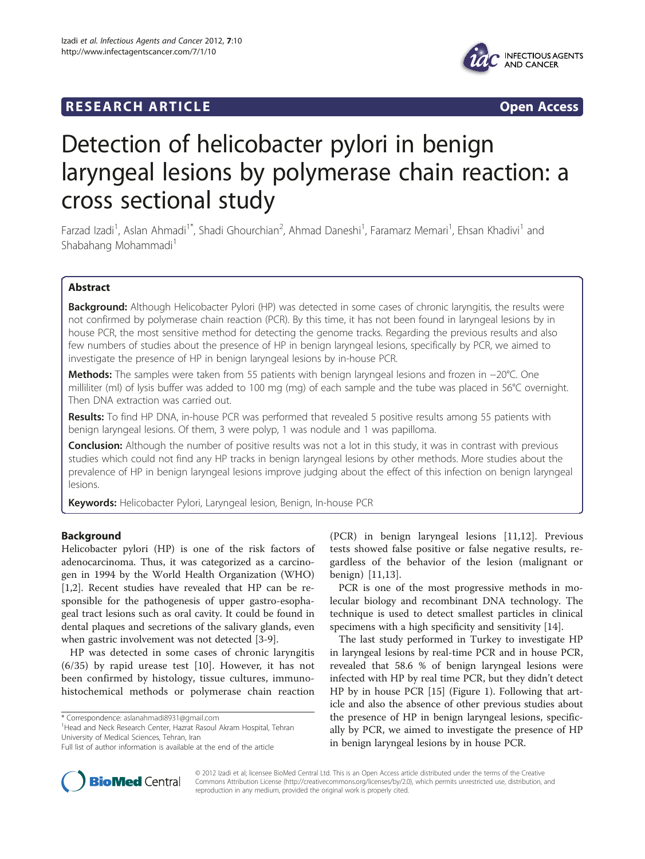# **RESEARCH ARTICLE Example 2014 CONSIDERING A RESEARCH ARTICLE**



# Detection of helicobacter pylori in benign laryngeal lesions by polymerase chain reaction: a cross sectional study

Farzad Izadi<sup>1</sup>, Aslan Ahmadi<sup>1\*</sup>, Shadi Ghourchian<sup>2</sup>, Ahmad Daneshi<sup>1</sup>, Faramarz Memari<sup>1</sup>, Ehsan Khadivi<sup>1</sup> and Shabahang Mohammadi<sup>1</sup>

# Abstract

Background: Although Helicobacter Pylori (HP) was detected in some cases of chronic laryngitis, the results were not confirmed by polymerase chain reaction (PCR). By this time, it has not been found in laryngeal lesions by in house PCR, the most sensitive method for detecting the genome tracks. Regarding the previous results and also few numbers of studies about the presence of HP in benign laryngeal lesions, specifically by PCR, we aimed to investigate the presence of HP in benign laryngeal lesions by in-house PCR.

Methods: The samples were taken from 55 patients with benign laryngeal lesions and frozen in −20°C. One milliliter (ml) of lysis buffer was added to 100 mg (mg) of each sample and the tube was placed in 56°C overnight. Then DNA extraction was carried out.

Results: To find HP DNA, in-house PCR was performed that revealed 5 positive results among 55 patients with benign laryngeal lesions. Of them, 3 were polyp, 1 was nodule and 1 was papilloma.

**Conclusion:** Although the number of positive results was not a lot in this study, it was in contrast with previous studies which could not find any HP tracks in benign laryngeal lesions by other methods. More studies about the prevalence of HP in benign laryngeal lesions improve judging about the effect of this infection on benign laryngeal lesions.

Keywords: Helicobacter Pylori, Laryngeal lesion, Benign, In-house PCR

# Background

Helicobacter pylori (HP) is one of the risk factors of adenocarcinoma. Thus, it was categorized as a carcinogen in 1994 by the World Health Organization (WHO) [[1,2\]](#page-3-0). Recent studies have revealed that HP can be responsible for the pathogenesis of upper gastro-esophageal tract lesions such as oral cavity. It could be found in dental plaques and secretions of the salivary glands, even when gastric involvement was not detected [[3-](#page-3-0)[9](#page-4-0)].

HP was detected in some cases of chronic laryngitis (6/35) by rapid urease test [[10\]](#page-4-0). However, it has not been confirmed by histology, tissue cultures, immunohistochemical methods or polymerase chain reaction

\* Correspondence: [aslanahmadi8931@gmail.com](mailto:aslanahmadi8931@gmail.com) <sup>1</sup>

<sup>1</sup> Head and Neck Research Center, Hazrat Rasoul Akram Hospital, Tehran University of Medical Sciences, Tehran, Iran

(PCR) in benign laryngeal lesions [[11,12\]](#page-4-0). Previous tests showed false positive or false negative results, regardless of the behavior of the lesion (malignant or benign) [\[11,13](#page-4-0)].

PCR is one of the most progressive methods in molecular biology and recombinant DNA technology. The technique is used to detect smallest particles in clinical specimens with a high specificity and sensitivity [[14](#page-4-0)].

The last study performed in Turkey to investigate HP in laryngeal lesions by real-time PCR and in house PCR, revealed that 58.6 % of benign laryngeal lesions were infected with HP by real time PCR, but they didn't detect HP by in house PCR [\[15](#page-4-0)] (Figure [1](#page-1-0)). Following that article and also the absence of other previous studies about the presence of HP in benign laryngeal lesions, specifically by PCR, we aimed to investigate the presence of HP in benign laryngeal lesions by in house PCR.



© 2012 Izadi et al; licensee BioMed Central Ltd. This is an Open Access article distributed under the terms of the Creative Commons Attribution License (http://creativecommons.org/licenses/by/2.0), which permits unrestricted use, distribution, and reproduction in any medium, provided the original work is properly cited.

Full list of author information is available at the end of the article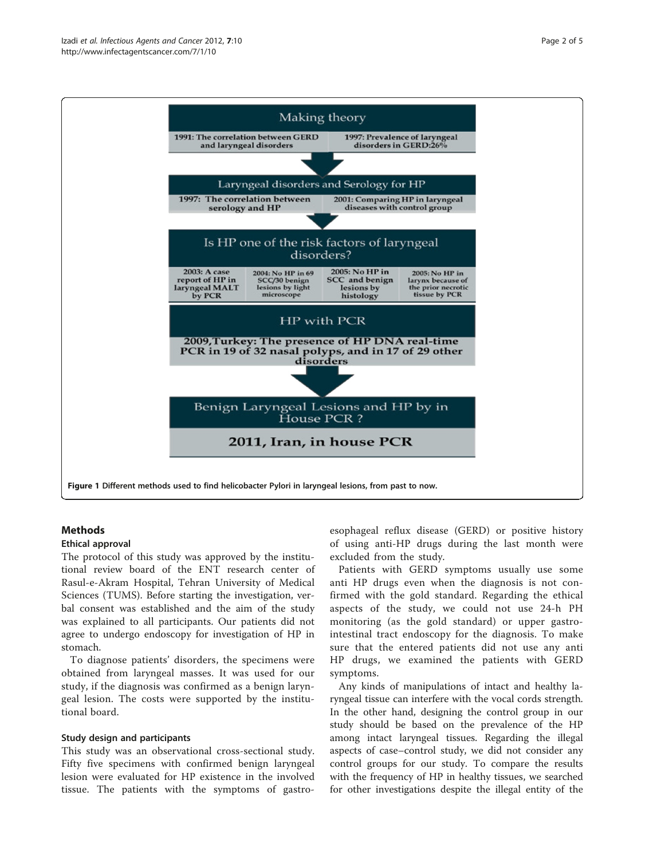<span id="page-1-0"></span>

# Methods

#### Ethical approval

The protocol of this study was approved by the institutional review board of the ENT research center of Rasul-e-Akram Hospital, Tehran University of Medical Sciences (TUMS). Before starting the investigation, verbal consent was established and the aim of the study was explained to all participants. Our patients did not agree to undergo endoscopy for investigation of HP in stomach.

To diagnose patients' disorders, the specimens were obtained from laryngeal masses. It was used for our study, if the diagnosis was confirmed as a benign laryngeal lesion. The costs were supported by the institutional board.

# Study design and participants

This study was an observational cross-sectional study. Fifty five specimens with confirmed benign laryngeal lesion were evaluated for HP existence in the involved tissue. The patients with the symptoms of gastroesophageal reflux disease (GERD) or positive history of using anti-HP drugs during the last month were excluded from the study.

Patients with GERD symptoms usually use some anti HP drugs even when the diagnosis is not confirmed with the gold standard. Regarding the ethical aspects of the study, we could not use 24-h PH monitoring (as the gold standard) or upper gastrointestinal tract endoscopy for the diagnosis. To make sure that the entered patients did not use any anti HP drugs, we examined the patients with GERD symptoms.

Any kinds of manipulations of intact and healthy laryngeal tissue can interfere with the vocal cords strength. In the other hand, designing the control group in our study should be based on the prevalence of the HP among intact laryngeal tissues. Regarding the illegal aspects of case–control study, we did not consider any control groups for our study. To compare the results with the frequency of HP in healthy tissues, we searched for other investigations despite the illegal entity of the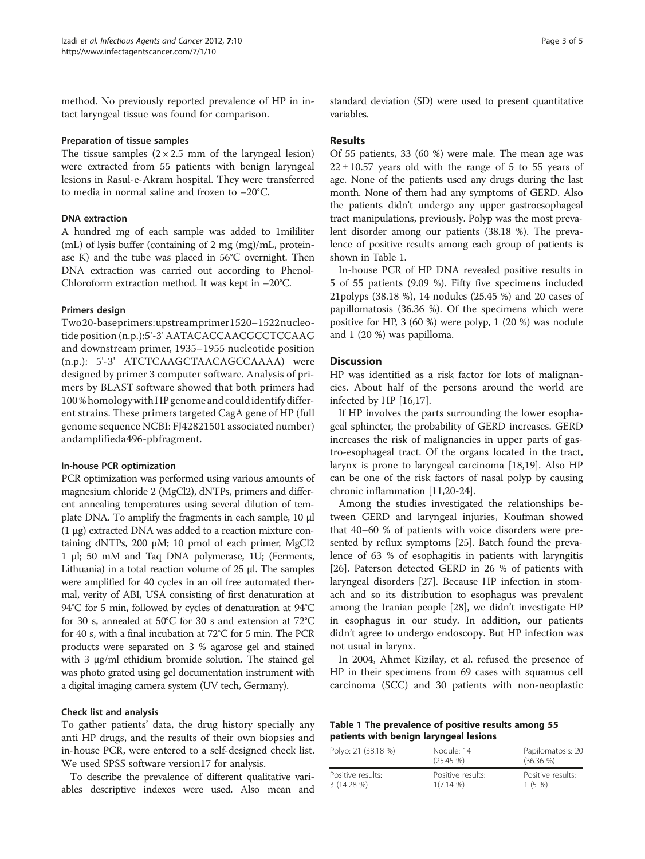<span id="page-2-0"></span>method. No previously reported prevalence of HP in intact laryngeal tissue was found for comparison.

#### Preparation of tissue samples

The tissue samples  $(2 \times 2.5 \text{ mm of the laryngeal lesion})$ were extracted from 55 patients with benign laryngeal lesions in Rasul-e-Akram hospital. They were transferred to media in normal saline and frozen to –20°C.

# DNA extraction

A hundred mg of each sample was added to 1mililiter (mL) of lysis buffer (containing of 2 mg (mg)/mL, proteinase K) and the tube was placed in 56°C overnight. Then DNA extraction was carried out according to Phenol-Chloroform extraction method. It was kept in –20°C.

# Primers design

Two20-baseprimers:upstreamprimer1520–1522nucleotide position (n.p.):5'-3' AATACACCAACGCCTCCAAG and downstream primer, 1935–1955 nucleotide position (n.p.): 5'-3' ATCTCAAGCTAACAGCCAAAA) were designed by primer 3 computer software. Analysis of primers by BLAST software showed that both primers had 100% homology with HP genome and could identify different strains. These primers targeted CagA gene of HP (full genome sequence NCBI: FJ42821501 associated number) andamplifieda496-pbfragment.

#### In-house PCR optimization

PCR optimization was performed using various amounts of magnesium chloride 2 (MgCl2), dNTPs, primers and different annealing temperatures using several dilution of template DNA. To amplify the fragments in each sample, 10 μl (1 μg) extracted DNA was added to a reaction mixture containing dNTPs, 200 μM; 10 pmol of each primer, MgCl2 1 μl; 50 mM and Taq DNA polymerase, 1U; (Ferments, Lithuania) in a total reaction volume of 25 μl. The samples were amplified for 40 cycles in an oil free automated thermal, verity of ABI, USA consisting of first denaturation at 94°C for 5 min, followed by cycles of denaturation at 94°C for 30 s, annealed at 50°C for 30 s and extension at 72°C for 40 s, with a final incubation at 72°C for 5 min. The PCR products were separated on 3 % agarose gel and stained with 3 μg/ml ethidium bromide solution. The stained gel was photo grated using gel documentation instrument with a digital imaging camera system (UV tech, Germany).

#### Check list and analysis

To gather patients' data, the drug history specially any anti HP drugs, and the results of their own biopsies and in-house PCR, were entered to a self-designed check list. We used SPSS software version17 for analysis.

To describe the prevalence of different qualitative variables descriptive indexes were used. Also mean and

standard deviation (SD) were used to present quantitative variables.

#### Results

Of 55 patients, 33 (60 %) were male. The mean age was  $22 \pm 10.57$  years old with the range of 5 to 55 years of age. None of the patients used any drugs during the last month. None of them had any symptoms of GERD. Also the patients didn't undergo any upper gastroesophageal tract manipulations, previously. Polyp was the most prevalent disorder among our patients (38.18 %). The prevalence of positive results among each group of patients is shown in Table 1.

In-house PCR of HP DNA revealed positive results in 5 of 55 patients (9.09 %). Fifty five specimens included 21polyps (38.18 %), 14 nodules (25.45 %) and 20 cases of papillomatosis (36.36 %). Of the specimens which were positive for HP, 3 (60 %) were polyp, 1 (20 %) was nodule and 1 (20 %) was papilloma.

## **Discussion**

HP was identified as a risk factor for lots of malignancies. About half of the persons around the world are infected by HP [\[16,17](#page-4-0)].

If HP involves the parts surrounding the lower esophageal sphincter, the probability of GERD increases. GERD increases the risk of malignancies in upper parts of gastro-esophageal tract. Of the organs located in the tract, larynx is prone to laryngeal carcinoma [[18](#page-4-0),[19](#page-4-0)]. Also HP can be one of the risk factors of nasal polyp by causing chronic inflammation [[11,20-24\]](#page-4-0).

Among the studies investigated the relationships between GERD and laryngeal injuries, Koufman showed that 40–60 % of patients with voice disorders were presented by reflux symptoms [\[25](#page-4-0)]. Batch found the prevalence of 63 % of esophagitis in patients with laryngitis [[26\]](#page-4-0). Paterson detected GERD in 26 % of patients with laryngeal disorders [[27\]](#page-4-0). Because HP infection in stomach and so its distribution to esophagus was prevalent among the Iranian people [[28](#page-4-0)], we didn't investigate HP in esophagus in our study. In addition, our patients didn't agree to undergo endoscopy. But HP infection was not usual in larynx.

In 2004, Ahmet Kizilay, et al. refused the presence of HP in their specimens from 69 cases with squamus cell carcinoma (SCC) and 30 patients with non-neoplastic

|                                        | Table 1 The prevalence of positive results among 55 |  |
|----------------------------------------|-----------------------------------------------------|--|
| patients with benign laryngeal lesions |                                                     |  |

| Polyp: 21 (38.18 %) | Nodule: 14<br>$(25.45\% )$ | Papilomatosis: 20<br>$(36.36\%)$ |
|---------------------|----------------------------|----------------------------------|
| Positive results:   | Positive results:          | Positive results:                |
| $3(14.28\%)$        | $1(7.14\%)$                | $1(5\%)$                         |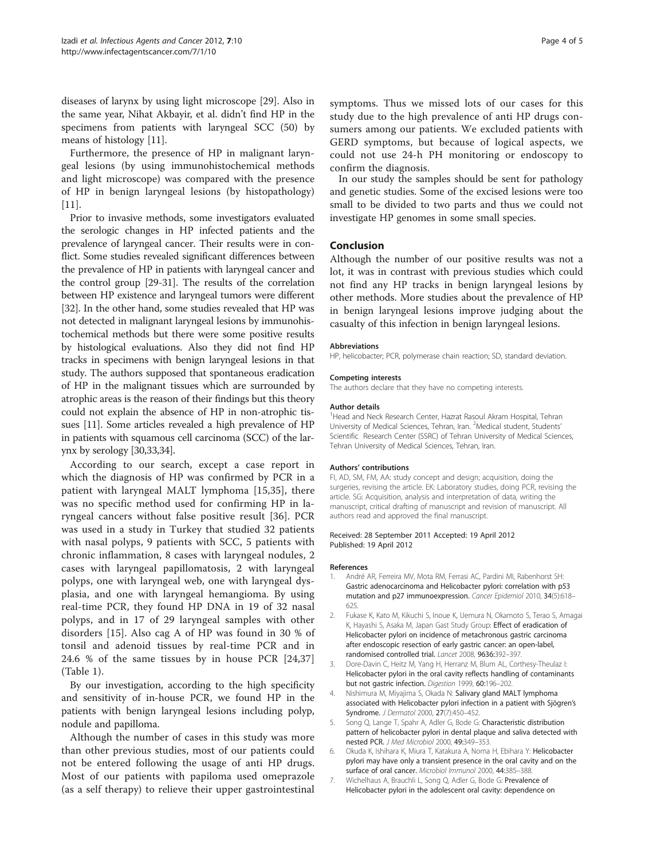<span id="page-3-0"></span>diseases of larynx by using light microscope [[29\]](#page-4-0). Also in the same year, Nihat Akbayir, et al. didn't find HP in the specimens from patients with laryngeal SCC (50) by means of histology [\[11](#page-4-0)].

Furthermore, the presence of HP in malignant laryngeal lesions (by using immunohistochemical methods and light microscope) was compared with the presence of HP in benign laryngeal lesions (by histopathology) [[11\]](#page-4-0).

Prior to invasive methods, some investigators evaluated the serologic changes in HP infected patients and the prevalence of laryngeal cancer. Their results were in conflict. Some studies revealed significant differences between the prevalence of HP in patients with laryngeal cancer and the control group [[29](#page-4-0)-[31](#page-4-0)]. The results of the correlation between HP existence and laryngeal tumors were different [[32](#page-4-0)]. In the other hand, some studies revealed that HP was not detected in malignant laryngeal lesions by immunohistochemical methods but there were some positive results by histological evaluations. Also they did not find HP tracks in specimens with benign laryngeal lesions in that study. The authors supposed that spontaneous eradication of HP in the malignant tissues which are surrounded by atrophic areas is the reason of their findings but this theory could not explain the absence of HP in non-atrophic tissues [\[11\]](#page-4-0). Some articles revealed a high prevalence of HP in patients with squamous cell carcinoma (SCC) of the larynx by serology [\[30,33,34\]](#page-4-0).

According to our search, except a case report in which the diagnosis of HP was confirmed by PCR in a patient with laryngeal MALT lymphoma [\[15](#page-4-0),[35\]](#page-4-0), there was no specific method used for confirming HP in laryngeal cancers without false positive result [\[36](#page-4-0)]. PCR was used in a study in Turkey that studied 32 patients with nasal polyps, 9 patients with SCC, 5 patients with chronic inflammation, 8 cases with laryngeal nodules, 2 cases with laryngeal papillomatosis, 2 with laryngeal polyps, one with laryngeal web, one with laryngeal dysplasia, and one with laryngeal hemangioma. By using real-time PCR, they found HP DNA in 19 of 32 nasal polyps, and in 17 of 29 laryngeal samples with other disorders [[15\]](#page-4-0). Also cag A of HP was found in 30 % of tonsil and adenoid tissues by real-time PCR and in 24.6 % of the same tissues by in house PCR [\[24,37](#page-4-0)] (Table [1](#page-2-0)).

By our investigation, according to the high specificity and sensitivity of in-house PCR, we found HP in the patients with benign laryngeal lesions including polyp, nodule and papilloma.

Although the number of cases in this study was more than other previous studies, most of our patients could not be entered following the usage of anti HP drugs. Most of our patients with papiloma used omeprazole (as a self therapy) to relieve their upper gastrointestinal

symptoms. Thus we missed lots of our cases for this study due to the high prevalence of anti HP drugs consumers among our patients. We excluded patients with GERD symptoms, but because of logical aspects, we could not use 24-h PH monitoring or endoscopy to confirm the diagnosis.

In our study the samples should be sent for pathology and genetic studies. Some of the excised lesions were too small to be divided to two parts and thus we could not investigate HP genomes in some small species.

#### Conclusion

Although the number of our positive results was not a lot, it was in contrast with previous studies which could not find any HP tracks in benign laryngeal lesions by other methods. More studies about the prevalence of HP in benign laryngeal lesions improve judging about the casualty of this infection in benign laryngeal lesions.

#### Abbreviations

HP, helicobacter; PCR, polymerase chain reaction; SD, standard deviation.

#### Competing interests

The authors declare that they have no competing interests.

#### Author details

<sup>1</sup> Head and Neck Research Center, Hazrat Rasoul Akram Hospital, Tehran University of Medical Sciences, Tehran, Iran. <sup>2</sup>Medical student, Students' Scientific Research Center (SSRC) of Tehran University of Medical Sciences, Tehran University of Medical Sciences, Tehran, Iran.

#### Authors' contributions

FI, AD, SM, FM, AA: study concept and design; acquisition, doing the surgeries, revising the article. EK: Laboratory studies, doing PCR, revising the article. SG: Acquisition, analysis and interpretation of data, writing the manuscript, critical drafting of manuscript and revision of manuscript. All authors read and approved the final manuscript.

#### Received: 28 September 2011 Accepted: 19 April 2012 Published: 19 April 2012

#### References

- 1. André AR, Ferreira MV, Mota RM, Ferrasi AC, Pardini MI, Rabenhorst SH: Gastric adenocarcinoma and Helicobacter pylori: correlation with p53 mutation and p27 immunoexpression. Cancer Epidemiol 2010, 34(5):618– 625.
- 2. Fukase K, Kato M, Kikuchi S, Inoue K, Uemura N, Okamoto S, Terao S, Amagai K, Hayashi S, Asaka M, Japan Gast Study Group: Effect of eradication of Helicobacter pylori on incidence of metachronous gastric carcinoma after endoscopic resection of early gastric cancer: an open-label, randomised controlled trial. Lancet 2008, 9636:392–397.
- 3. Dore-Davin C, Heitz M, Yang H, Herranz M, Blum AL, Corthesy-Theulaz I: Helicobacter pylori in the oral cavity reflects handling of contaminants but not gastric infection. Digestion 1999, 60:196–202.
- 4. Nishimura M, Miyajima S, Okada N: Salivary gland MALT lymphoma associated with Helicobacter pylori infection in a patient with Sjögren's Syndrome. *J Dermatol* 2000, 27(7):450-452.
- 5. Song Q, Lange T, Spahr A, Adler G, Bode G: Characteristic distribution pattern of helicobacter pylori in dental plaque and saliva detected with nested PCR. J Med Microbiol 2000, 49:349–353.
- 6. Okuda K, Ishihara K, Miura T, Katakura A, Noma H, Ebihara Y: Helicobacter pylori may have only a transient presence in the oral cavity and on the surface of oral cancer. Microbiol Immunol 2000, 44:385–388.
- 7. Wichelhaus A, Brauchli L, Song Q, Adler G, Bode G: Prevalence of Helicobacter pylori in the adolescent oral cavity: dependence on